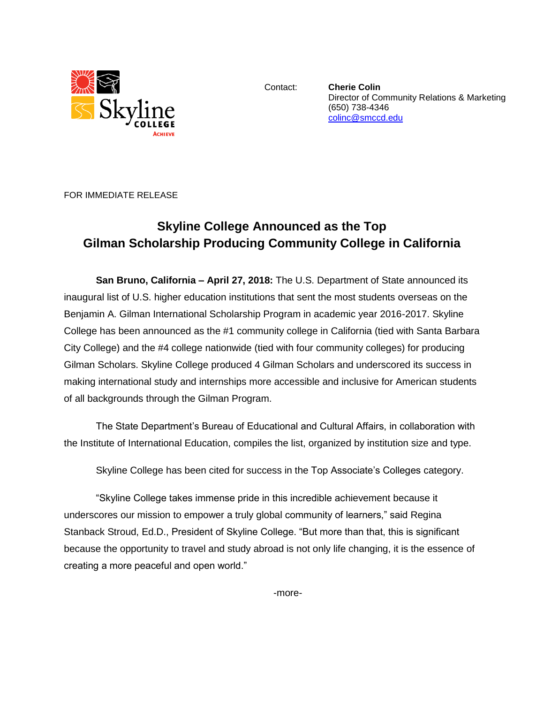

Contact: **Cherie Colin** Director of Community Relations & Marketing (650) 738-4346 [colinc@smccd.edu](mailto:colinc@smccd.edu) 

FOR IMMEDIATE RELEASE

## **Skyline College Announced as the Top Gilman Scholarship Producing Community College in California**

**San Bruno, California – April 27, 2018:** The U.S. Department of State announced its inaugural list of U.S. higher education institutions that sent the most students overseas on the Benjamin A. Gilman International Scholarship Program in academic year 2016-2017. Skyline College has been announced as the #1 community college in California (tied with Santa Barbara City College) and the #4 college nationwide (tied with four community colleges) for producing Gilman Scholars. Skyline College produced 4 Gilman Scholars and underscored its success in making international study and internships more accessible and inclusive for American students of all backgrounds through the Gilman Program.

The State Department's Bureau of Educational and Cultural Affairs, in collaboration with the Institute of International Education, compiles the list, organized by institution size and type.

Skyline College has been cited for success in the Top Associate's Colleges category.

"Skyline College takes immense pride in this incredible achievement because it underscores our mission to empower a truly global community of learners," said Regina Stanback Stroud, Ed.D., President of Skyline College. "But more than that, this is significant because the opportunity to travel and study abroad is not only life changing, it is the essence of creating a more peaceful and open world."

-more-